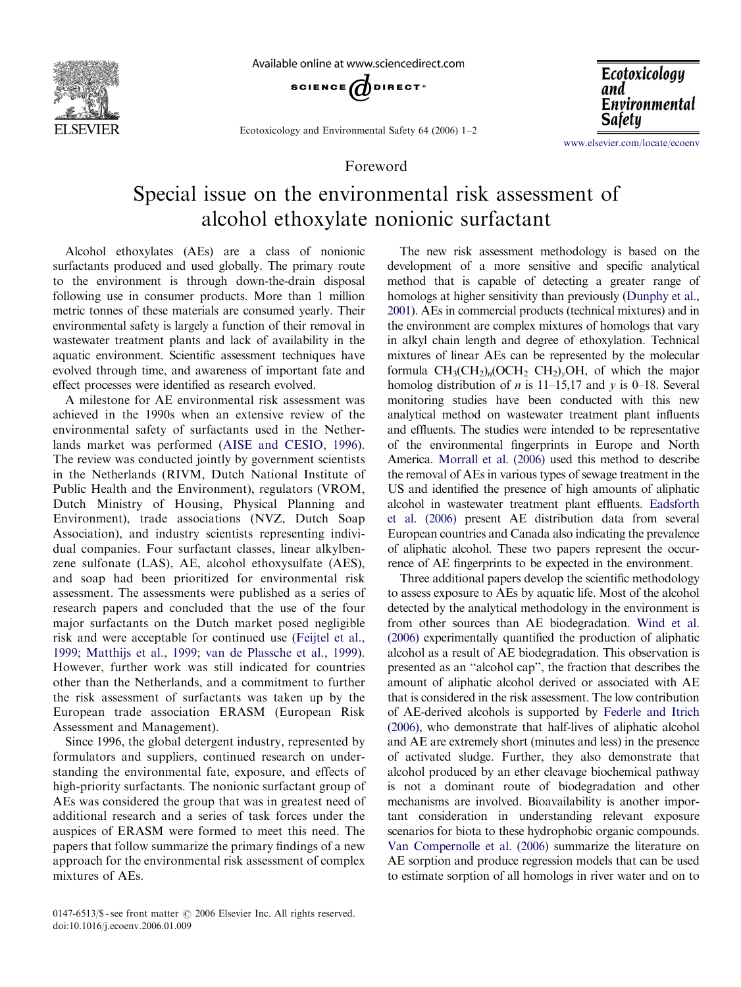

Available online at www.sciencedirect.com



Ecotoxicology and Environmental Safety 64 (2006) 1–2

Foreword



<www.elsevier.com/locate/ecoenv>

## Special issue on the environmental risk assessment of alcohol ethoxylate nonionic surfactant

Alcohol ethoxylates (AEs) are a class of nonionic surfactants produced and used globally. The primary route to the environment is through down-the-drain disposal following use in consumer products. More than 1 million metric tonnes of these materials are consumed yearly. Their environmental safety is largely a function of their removal in wastewater treatment plants and lack of availability in the aquatic environment. Scientific assessment techniques have evolved through time, and awareness of important fate and effect processes were identified as research evolved.

A milestone for AE environmental risk assessment was achieved in the 1990s when an extensive review of the environmental safety of surfactants used in the Netherlands market was performed [\(AISE and CESIO, 1996\)](#page-1-0). The review was conducted jointly by government scientists in the Netherlands (RIVM, Dutch National Institute of Public Health and the Environment), regulators (VROM, Dutch Ministry of Housing, Physical Planning and Environment), trade associations (NVZ, Dutch Soap Association), and industry scientists representing individual companies. Four surfactant classes, linear alkylbenzene sulfonate (LAS), AE, alcohol ethoxysulfate (AES), and soap had been prioritized for environmental risk assessment. The assessments were published as a series of research papers and concluded that the use of the four major surfactants on the Dutch market posed negligible risk and were acceptable for continued use [\(Feijtel et al.,](#page-1-0) [1999](#page-1-0); [Matthijs et al., 1999;](#page-1-0) [van de Plassche et al., 1999\)](#page-1-0). However, further work was still indicated for countries other than the Netherlands, and a commitment to further the risk assessment of surfactants was taken up by the European trade association ERASM (European Risk Assessment and Management).

Since 1996, the global detergent industry, represented by formulators and suppliers, continued research on understanding the environmental fate, exposure, and effects of high-priority surfactants. The nonionic surfactant group of AEs was considered the group that was in greatest need of additional research and a series of task forces under the auspices of ERASM were formed to meet this need. The papers that follow summarize the primary findings of a new approach for the environmental risk assessment of complex mixtures of AEs.

The new risk assessment methodology is based on the development of a more sensitive and specific analytical method that is capable of detecting a greater range of homologs at higher sensitivity than previously ([Dunphy et al.,](#page-1-0) [2001](#page-1-0)). AEs in commercial products (technical mixtures) and in the environment are complex mixtures of homologs that vary in alkyl chain length and degree of ethoxylation. Technical mixtures of linear AEs can be represented by the molecular formula  $CH_3(CH_2)_n(OCH_2 CH_2)_vOH$ , of which the major homolog distribution of *n* is 11–15,17 and *y* is 0–18. Several monitoring studies have been conducted with this new analytical method on wastewater treatment plant influents and effluents. The studies were intended to be representative of the environmental fingerprints in Europe and North America. [Morrall et al. \(2006\)](#page-1-0) used this method to describe the removal of AEs in various types of sewage treatment in the US and identified the presence of high amounts of aliphatic alcohol in wastewater treatment plant effluents. [Eadsforth](#page-1-0) [et al. \(2006\)](#page-1-0) present AE distribution data from several European countries and Canada also indicating the prevalence of aliphatic alcohol. These two papers represent the occurrence of AE fingerprints to be expected in the environment.

Three additional papers develop the scientific methodology to assess exposure to AEs by aquatic life. Most of the alcohol detected by the analytical methodology in the environment is from other sources than AE biodegradation. [Wind et al.](#page-1-0) [\(2006\)](#page-1-0) experimentally quantified the production of aliphatic alcohol as a result of AE biodegradation. This observation is presented as an ''alcohol cap'', the fraction that describes the amount of aliphatic alcohol derived or associated with AE that is considered in the risk assessment. The low contribution of AE-derived alcohols is supported by [Federle and Itrich](#page-1-0) [\(2006\),](#page-1-0) who demonstrate that half-lives of aliphatic alcohol and AE are extremely short (minutes and less) in the presence of activated sludge. Further, they also demonstrate that alcohol produced by an ether cleavage biochemical pathway is not a dominant route of biodegradation and other mechanisms are involved. Bioavailability is another important consideration in understanding relevant exposure scenarios for biota to these hydrophobic organic compounds. [Van Compernolle et al. \(2006\)](#page-1-0) summarize the literature on AE sorption and produce regression models that can be used to estimate sorption of all homologs in river water and on to